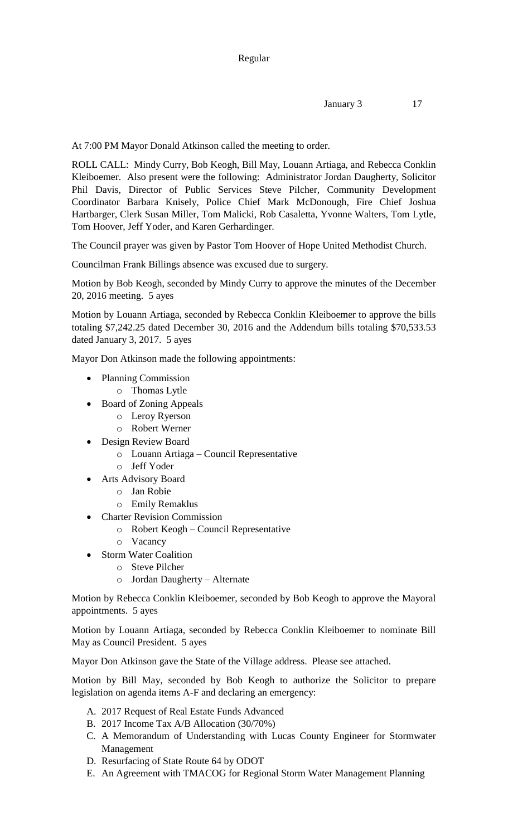At 7:00 PM Mayor Donald Atkinson called the meeting to order.

ROLL CALL: Mindy Curry, Bob Keogh, Bill May, Louann Artiaga, and Rebecca Conklin Kleiboemer. Also present were the following: Administrator Jordan Daugherty, Solicitor Phil Davis, Director of Public Services Steve Pilcher, Community Development Coordinator Barbara Knisely, Police Chief Mark McDonough, Fire Chief Joshua Hartbarger, Clerk Susan Miller, Tom Malicki, Rob Casaletta, Yvonne Walters, Tom Lytle, Tom Hoover, Jeff Yoder, and Karen Gerhardinger.

The Council prayer was given by Pastor Tom Hoover of Hope United Methodist Church.

Councilman Frank Billings absence was excused due to surgery.

Motion by Bob Keogh, seconded by Mindy Curry to approve the minutes of the December 20, 2016 meeting. 5 ayes

Motion by Louann Artiaga, seconded by Rebecca Conklin Kleiboemer to approve the bills totaling \$7,242.25 dated December 30, 2016 and the Addendum bills totaling \$70,533.53 dated January 3, 2017. 5 ayes

Mayor Don Atkinson made the following appointments:

- Planning Commission
	- o Thomas Lytle
- Board of Zoning Appeals
	- o Leroy Ryerson
	- o Robert Werner
- Design Review Board
	- o Louann Artiaga Council Representative
	- o Jeff Yoder
- Arts Advisory Board
	- o Jan Robie
	- o Emily Remaklus
- Charter Revision Commission
	- o Robert Keogh Council Representative
	- o Vacancy
	- Storm Water Coalition
		- o Steve Pilcher
		- o Jordan Daugherty Alternate

Motion by Rebecca Conklin Kleiboemer, seconded by Bob Keogh to approve the Mayoral appointments. 5 ayes

Motion by Louann Artiaga, seconded by Rebecca Conklin Kleiboemer to nominate Bill May as Council President. 5 ayes

Mayor Don Atkinson gave the State of the Village address. Please see attached.

Motion by Bill May, seconded by Bob Keogh to authorize the Solicitor to prepare legislation on agenda items A-F and declaring an emergency:

- A. 2017 Request of Real Estate Funds Advanced
- B. 2017 Income Tax A/B Allocation (30/70%)
- C. A Memorandum of Understanding with Lucas County Engineer for Stormwater Management
- D. Resurfacing of State Route 64 by ODOT
- E. An Agreement with TMACOG for Regional Storm Water Management Planning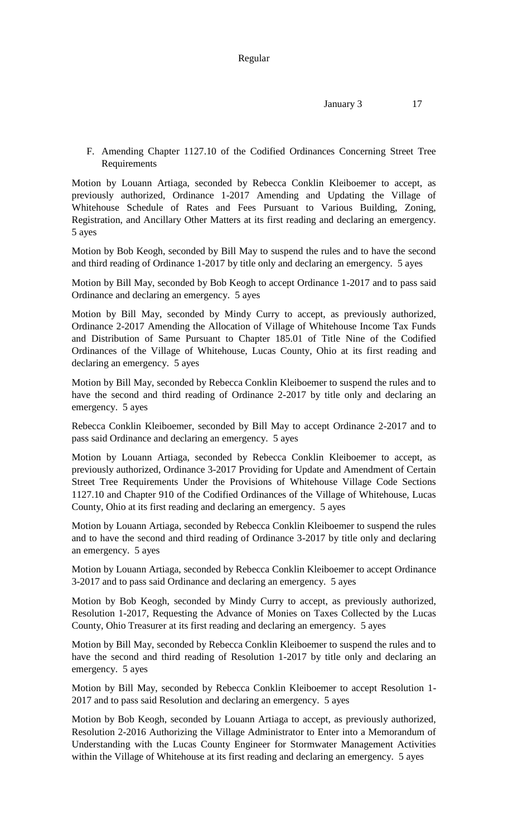F. Amending Chapter 1127.10 of the Codified Ordinances Concerning Street Tree Requirements

Motion by Louann Artiaga, seconded by Rebecca Conklin Kleiboemer to accept, as previously authorized, Ordinance 1-2017 Amending and Updating the Village of Whitehouse Schedule of Rates and Fees Pursuant to Various Building, Zoning, Registration, and Ancillary Other Matters at its first reading and declaring an emergency. 5 ayes

Motion by Bob Keogh, seconded by Bill May to suspend the rules and to have the second and third reading of Ordinance 1-2017 by title only and declaring an emergency. 5 ayes

Motion by Bill May, seconded by Bob Keogh to accept Ordinance 1-2017 and to pass said Ordinance and declaring an emergency. 5 ayes

Motion by Bill May, seconded by Mindy Curry to accept, as previously authorized, Ordinance 2-2017 Amending the Allocation of Village of Whitehouse Income Tax Funds and Distribution of Same Pursuant to Chapter 185.01 of Title Nine of the Codified Ordinances of the Village of Whitehouse, Lucas County, Ohio at its first reading and declaring an emergency. 5 ayes

Motion by Bill May, seconded by Rebecca Conklin Kleiboemer to suspend the rules and to have the second and third reading of Ordinance 2-2017 by title only and declaring an emergency. 5 ayes

Rebecca Conklin Kleiboemer, seconded by Bill May to accept Ordinance 2-2017 and to pass said Ordinance and declaring an emergency. 5 ayes

Motion by Louann Artiaga, seconded by Rebecca Conklin Kleiboemer to accept, as previously authorized, Ordinance 3-2017 Providing for Update and Amendment of Certain Street Tree Requirements Under the Provisions of Whitehouse Village Code Sections 1127.10 and Chapter 910 of the Codified Ordinances of the Village of Whitehouse, Lucas County, Ohio at its first reading and declaring an emergency. 5 ayes

Motion by Louann Artiaga, seconded by Rebecca Conklin Kleiboemer to suspend the rules and to have the second and third reading of Ordinance 3-2017 by title only and declaring an emergency. 5 ayes

Motion by Louann Artiaga, seconded by Rebecca Conklin Kleiboemer to accept Ordinance 3-2017 and to pass said Ordinance and declaring an emergency. 5 ayes

Motion by Bob Keogh, seconded by Mindy Curry to accept, as previously authorized, Resolution 1-2017, Requesting the Advance of Monies on Taxes Collected by the Lucas County, Ohio Treasurer at its first reading and declaring an emergency. 5 ayes

Motion by Bill May, seconded by Rebecca Conklin Kleiboemer to suspend the rules and to have the second and third reading of Resolution 1-2017 by title only and declaring an emergency. 5 ayes

Motion by Bill May, seconded by Rebecca Conklin Kleiboemer to accept Resolution 1- 2017 and to pass said Resolution and declaring an emergency. 5 ayes

Motion by Bob Keogh, seconded by Louann Artiaga to accept, as previously authorized, Resolution 2-2016 Authorizing the Village Administrator to Enter into a Memorandum of Understanding with the Lucas County Engineer for Stormwater Management Activities within the Village of Whitehouse at its first reading and declaring an emergency. 5 ayes